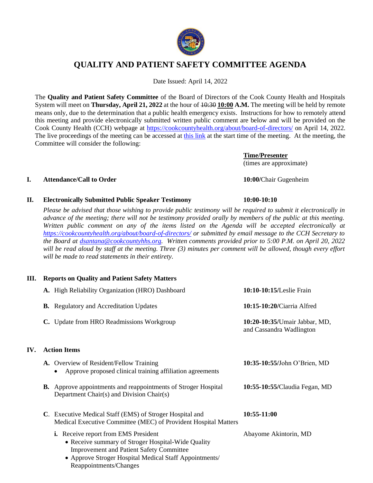

# **QUALITY AND PATIENT SAFETY COMMITTEE AGENDA**

Date Issued: April 14, 2022

The **Quality and Patient Safety Committee** of the Board of Directors of the Cook County Health and Hospitals System will meet on **Thursday, April 21, 2022** at the hour of  $\frac{10:30}{10:00}$  **A.M.** The meeting will be held by remote means only, due to the determination that a public health emergency exists. Instructions for how to remotely attend this meeting and provide electronically submitted written public comment are below and will be provided on the Cook County Health (CCH) webpage at<https://cookcountyhealth.org/about/board-of-directors/> on April 14, 2022. The live proceedings of the meeting can be accessed at [this link](https://www.youtube.com/channel/UCj9DT_l0RU-MVC-_u-tOkZA) at the start time of the meeting. At the meeting, the Committee will consider the following:

> **Time/Presenter** (times are approximate)

### **I. Attendance/Call to Order 10:00/**Chair Gugenheim

IV.

## **II. Electronically Submitted Public Speaker Testimony 10:00-10:10**

*Please be advised that those wishing to provide public testimony will be required to submit it electronically in advance of the meeting; there will not be testimony provided orally by members of the public at this meeting. Written public comment on any of the items listed on the Agenda will be accepted electronically at <https://cookcountyhealth.org/about/board-of-directors/> or submitted by email message to the CCH Secretary to the Board at [dsantana@cookcountyhhs.org.](mailto:dsantana@cookcountyhhs.org) Written comments provided prior to 5:00 P.M. on April 20, 2022 will be read aloud by staff at the meeting. Three (3) minutes per comment will be allowed, though every effort will be made to read statements in their entirety.*

## **III. Reports on Quality and Patient Safety Matters**

| A. High Reliability Organization (HRO) Dashboard                                                                                                                                                                                         | 10:10-10:15/Leslie Frain                                  |
|------------------------------------------------------------------------------------------------------------------------------------------------------------------------------------------------------------------------------------------|-----------------------------------------------------------|
| <b>B.</b> Regulatory and Accreditation Updates                                                                                                                                                                                           | 10:15-10:20/Ciarria Alfred                                |
| C. Update from HRO Readmissions Workgroup                                                                                                                                                                                                | 10:20-10:35/Umair Jabbar, MD,<br>and Cassandra Wadlington |
| <b>Action Items</b>                                                                                                                                                                                                                      |                                                           |
| A. Overview of Resident/Fellow Training<br>Approve proposed clinical training affiliation agreements                                                                                                                                     | 10:35-10:55/John O'Brien, MD                              |
| <b>B.</b> Approve appointments and reappointments of Stroger Hospital<br>Department Chair(s) and Division Chair(s)                                                                                                                       | 10:55-10:55/Claudia Fegan, MD                             |
| C. Executive Medical Staff (EMS) of Stroger Hospital and<br>Medical Executive Committee (MEC) of Provident Hospital Matters                                                                                                              | 10:55-11:00                                               |
| <b>i.</b> Receive report from EMS President<br>• Receive summary of Stroger Hospital-Wide Quality<br><b>Improvement and Patient Safety Committee</b><br>• Approve Stroger Hospital Medical Staff Appointments/<br>Reappointments/Changes | Abayome Akintorin, MD                                     |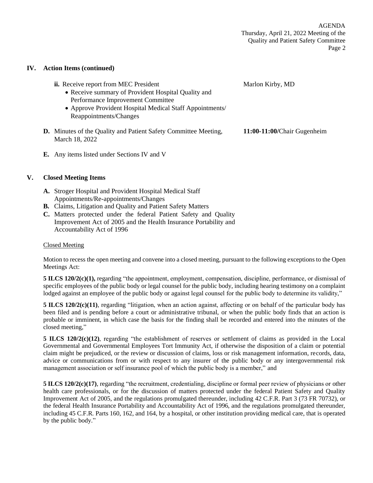#### **IV. Action Items (continued)**

| <b>ii.</b> Receive report from MEC President<br>• Receive summary of Provident Hospital Quality and<br>Performance Improvement Committee<br>• Approve Provident Hospital Medical Staff Appointments/<br>Reappointments/Changes | Marlon Kirby, MD            |
|--------------------------------------------------------------------------------------------------------------------------------------------------------------------------------------------------------------------------------|-----------------------------|
| <b>D.</b> Minutes of the Quality and Patient Safety Committee Meeting,<br>March 18, 2022                                                                                                                                       | 11:00-11:00/Chair Gugenheim |
| <b>E.</b> Any items listed under Sections IV and V                                                                                                                                                                             |                             |

#### **V. Closed Meeting Items**

- **A.** Stroger Hospital and Provident Hospital Medical Staff Appointments/Re-appointments/Changes
- **B.** Claims, Litigation and Quality and Patient Safety Matters
- **C.** Matters protected under the federal Patient Safety and Quality Improvement Act of 2005 and the Health Insurance Portability and Accountability Act of 1996

#### Closed Meeting

Motion to recess the open meeting and convene into a closed meeting, pursuant to the following exceptions to the Open Meetings Act:

**5 ILCS 120/2(c)(1),** regarding "the appointment, employment, compensation, discipline, performance, or dismissal of specific employees of the public body or legal counsel for the public body, including hearing testimony on a complaint lodged against an employee of the public body or against legal counsel for the public body to determine its validity,"

**5 ILCS 120/2(c)(11)**, regarding "litigation, when an action against, affecting or on behalf of the particular body has been filed and is pending before a court or administrative tribunal, or when the public body finds that an action is probable or imminent, in which case the basis for the finding shall be recorded and entered into the minutes of the closed meeting,"

**5 ILCS 120/2(c)(12)**, regarding "the establishment of reserves or settlement of claims as provided in the Local Governmental and Governmental Employees Tort Immunity Act, if otherwise the disposition of a claim or potential claim might be prejudiced, or the review or discussion of claims, loss or risk management information, records, data, advice or communications from or with respect to any insurer of the public body or any intergovernmental risk management association or self insurance pool of which the public body is a member," and

**5 ILCS 120/2(c)(17)**, regarding "the recruitment, credentialing, discipline or formal peer review of physicians or other health care professionals, or for the discussion of matters protected under the federal Patient Safety and Quality Improvement Act of 2005, and the regulations promulgated thereunder, including 42 C.F.R. Part 3 (73 FR 70732), or the federal Health Insurance Portability and Accountability Act of 1996, and the regulations promulgated thereunder, including 45 C.F.R. Parts 160, 162, and 164, by a hospital, or other institution providing medical care, that is operated by the public body."